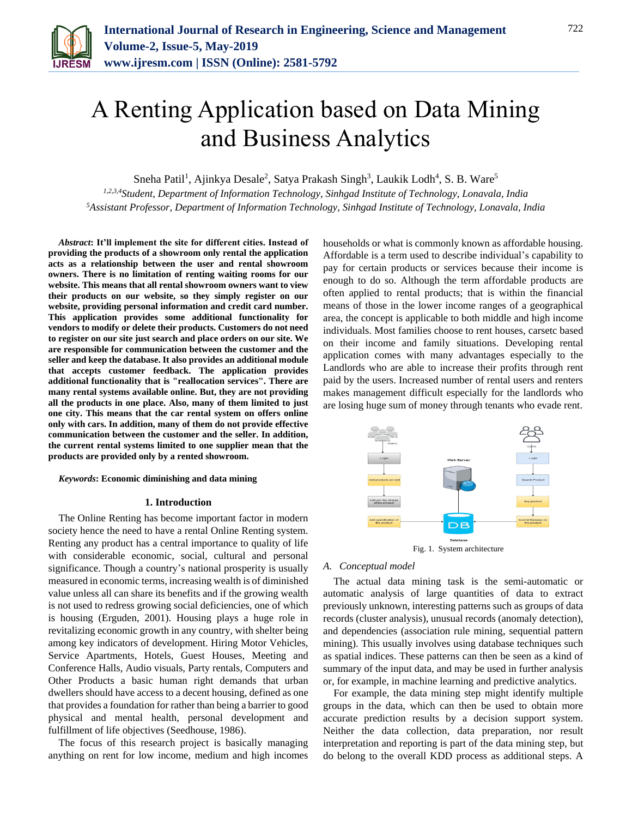

# A Renting Application based on Data Mining and Business Analytics

Sneha Patil<sup>1</sup>, Ajinkya Desale<sup>2</sup>, Satya Prakash Singh<sup>3</sup>, Laukik Lodh<sup>4</sup>, S. B. Ware<sup>5</sup>

*1,2,3,4Student, Department of Information Technology, Sinhgad Institute of Technology, Lonavala, India 5Assistant Professor, Department of Information Technology, Sinhgad Institute of Technology, Lonavala, India*

*Abstract***: It'll implement the site for different cities. Instead of providing the products of a showroom only rental the application acts as a relationship between the user and rental showroom owners. There is no limitation of renting waiting rooms for our website. This means that all rental showroom owners want to view their products on our website, so they simply register on our website, providing personal information and credit card number. This application provides some additional functionality for vendors to modify or delete their products. Customers do not need to register on our site just search and place orders on our site. We are responsible for communication between the customer and the seller and keep the database. It also provides an additional module that accepts customer feedback. The application provides additional functionality that is "reallocation services". There are many rental systems available online. But, they are not providing all the products in one place. Also, many of them limited to just one city. This means that the car rental system on offers online only with cars. In addition, many of them do not provide effective communication between the customer and the seller. In addition, the current rental systems limited to one supplier mean that the products are provided only by a rented showroom.**

*Keywords***: Economic diminishing and data mining**

#### **1. Introduction**

The Online Renting has become important factor in modern society hence the need to have a rental Online Renting system. Renting any product has a central importance to quality of life with considerable economic, social, cultural and personal significance. Though a country's national prosperity is usually measured in economic terms, increasing wealth is of diminished value unless all can share its benefits and if the growing wealth is not used to redress growing social deficiencies, one of which is housing (Erguden, 2001). Housing plays a huge role in revitalizing economic growth in any country, with shelter being among key indicators of development. Hiring Motor Vehicles, Service Apartments, Hotels, Guest Houses, Meeting and Conference Halls, Audio visuals, Party rentals, Computers and Other Products a basic human right demands that urban dwellers should have access to a decent housing, defined as one that provides a foundation for rather than being a barrier to good physical and mental health, personal development and fulfillment of life objectives (Seedhouse, 1986).

The focus of this research project is basically managing anything on rent for low income, medium and high incomes households or what is commonly known as affordable housing. Affordable is a term used to describe individual's capability to pay for certain products or services because their income is enough to do so. Although the term affordable products are often applied to rental products; that is within the financial means of those in the lower income ranges of a geographical area, the concept is applicable to both middle and high income individuals. Most families choose to rent houses, carsetc based on their income and family situations. Developing rental application comes with many advantages especially to the Landlords who are able to increase their profits through rent paid by the users. Increased number of rental users and renters makes management difficult especially for the landlords who are losing huge sum of money through tenants who evade rent.



Fig. 1. System architecture

#### *A. Conceptual model*

The actual data mining task is the semi-automatic or automatic analysis of large quantities of data to extract previously unknown, interesting patterns such as groups of data records (cluster analysis), unusual records (anomaly detection), and dependencies (association rule mining, sequential pattern mining). This usually involves using database techniques such as spatial indices. These patterns can then be seen as a kind of summary of the input data, and may be used in further analysis or, for example, in machine learning and predictive analytics.

For example, the data mining step might identify multiple groups in the data, which can then be used to obtain more accurate prediction results by a decision support system. Neither the data collection, data preparation, nor result interpretation and reporting is part of the data mining step, but do belong to the overall KDD process as additional steps. A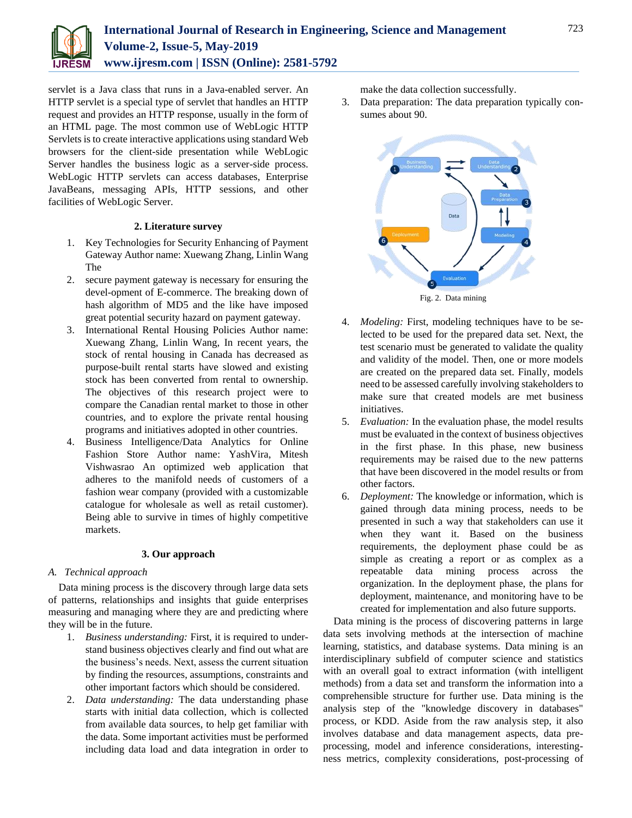

servlet is a Java class that runs in a Java-enabled server. An HTTP servlet is a special type of servlet that handles an HTTP request and provides an HTTP response, usually in the form of an HTML page. The most common use of WebLogic HTTP Servlets is to create interactive applications using standard Web browsers for the client-side presentation while WebLogic Server handles the business logic as a server-side process. WebLogic HTTP servlets can access databases, Enterprise JavaBeans, messaging APIs, HTTP sessions, and other facilities of WebLogic Server.

## **2. Literature survey**

- 1. Key Technologies for Security Enhancing of Payment Gateway Author name: Xuewang Zhang, Linlin Wang The
- 2. secure payment gateway is necessary for ensuring the devel-opment of E-commerce. The breaking down of hash algorithm of MD5 and the like have imposed great potential security hazard on payment gateway.
- 3. International Rental Housing Policies Author name: Xuewang Zhang, Linlin Wang, In recent years, the stock of rental housing in Canada has decreased as purpose-built rental starts have slowed and existing stock has been converted from rental to ownership. The objectives of this research project were to compare the Canadian rental market to those in other countries, and to explore the private rental housing programs and initiatives adopted in other countries.
- 4. Business Intelligence/Data Analytics for Online Fashion Store Author name: YashVira, Mitesh Vishwasrao An optimized web application that adheres to the manifold needs of customers of a fashion wear company (provided with a customizable catalogue for wholesale as well as retail customer). Being able to survive in times of highly competitive markets.

## **3. Our approach**

## *A. Technical approach*

Data mining process is the discovery through large data sets of patterns, relationships and insights that guide enterprises measuring and managing where they are and predicting where they will be in the future.

- 1. *Business understanding:* First, it is required to understand business objectives clearly and find out what are the business's needs. Next, assess the current situation by finding the resources, assumptions, constraints and other important factors which should be considered.
- 2. *Data understanding:* The data understanding phase starts with initial data collection, which is collected from available data sources, to help get familiar with the data. Some important activities must be performed including data load and data integration in order to

make the data collection successfully.

3. Data preparation: The data preparation typically consumes about 90.



- 4. *Modeling:* First, modeling techniques have to be selected to be used for the prepared data set. Next, the test scenario must be generated to validate the quality and validity of the model. Then, one or more models are created on the prepared data set. Finally, models need to be assessed carefully involving stakeholders to make sure that created models are met business initiatives.
- 5. *Evaluation:* In the evaluation phase, the model results must be evaluated in the context of business objectives in the first phase. In this phase, new business requirements may be raised due to the new patterns that have been discovered in the model results or from other factors.
- 6. *Deployment:* The knowledge or information, which is gained through data mining process, needs to be presented in such a way that stakeholders can use it when they want it. Based on the business requirements, the deployment phase could be as simple as creating a report or as complex as a repeatable data mining process across the organization. In the deployment phase, the plans for deployment, maintenance, and monitoring have to be created for implementation and also future supports.

Data mining is the process of discovering patterns in large data sets involving methods at the intersection of machine learning, statistics, and database systems. Data mining is an interdisciplinary subfield of computer science and statistics with an overall goal to extract information (with intelligent methods) from a data set and transform the information into a comprehensible structure for further use. Data mining is the analysis step of the "knowledge discovery in databases" process, or KDD. Aside from the raw analysis step, it also involves database and data management aspects, data preprocessing, model and inference considerations, interestingness metrics, complexity considerations, post-processing of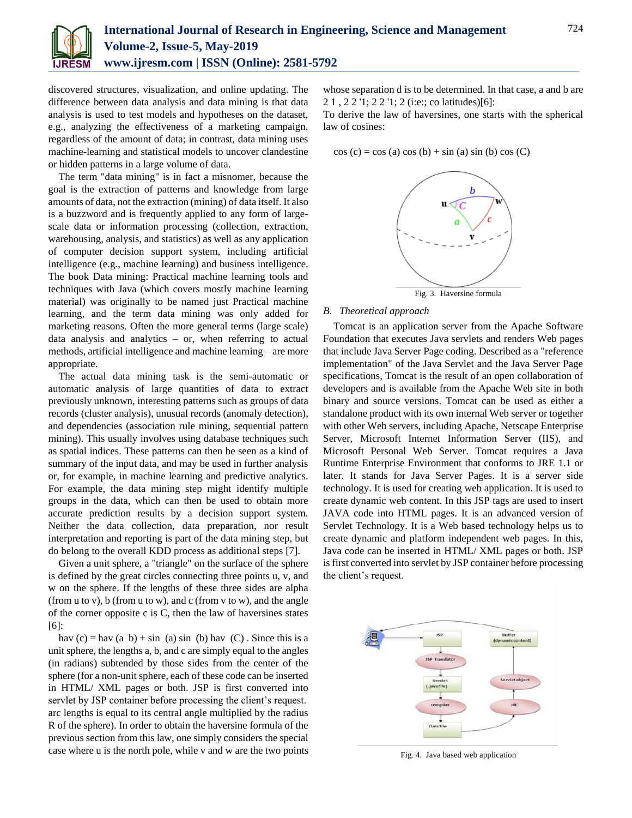

discovered structures, visualization, and online updating. The difference between data analysis and data mining is that data analysis is used to test models and hypotheses on the dataset, e.g., analyzing the effectiveness of a marketing campaign, regardless of the amount of data; in contrast, data mining uses machine-learning and statistical models to uncover clandestine or hidden patterns in a large volume of data.

The term "data mining" is in fact a misnomer, because the goal is the extraction of patterns and knowledge from large amounts of data, not the extraction (mining) of data itself. It also is a buzzword and is frequently applied to any form of largescale data or information processing (collection, extraction, warehousing, analysis, and statistics) as well as any application of computer decision support system, including artificial intelligence (e.g., machine learning) and business intelligence. The book Data mining: Practical machine learning tools and techniques with Java (which covers mostly machine learning material) was originally to be named just Practical machine learning, and the term data mining was only added for marketing reasons. Often the more general terms (large scale) data analysis and analytics  $-$  or, when referring to actual methods, artificial intelligence and machine learning – are more appropriate.

The actual data mining task is the semi-automatic or automatic analysis of large quantities of data to extract previously unknown, interesting patterns such as groups of data records (cluster analysis), unusual records (anomaly detection), and dependencies (association rule mining, sequential pattern mining). This usually involves using database techniques such as spatial indices. These patterns can then be seen as a kind of summary of the input data, and may be used in further analysis or, for example, in machine learning and predictive analytics. For example, the data mining step might identify multiple groups in the data, which can then be used to obtain more accurate prediction results by a decision support system. Neither the data collection, data preparation, nor result interpretation and reporting is part of the data mining step, but do belong to the overall KDD process as additional steps [7].

Given a unit sphere, a "triangle" on the surface of the sphere is defined by the great circles connecting three points u, v, and w on the sphere. If the lengths of these three sides are alpha (from u to v), b (from u to w), and c (from v to w), and the angle of the corner opposite c is C, then the law of haversines states [6]:

hav  $(c) =$  hav  $(a \ b) + \sin(a) \sin(b)$  hav  $(C)$ . Since this is a unit sphere, the lengths a, b, and c are simply equal to the angles (in radians) subtended by those sides from the center of the sphere (for a non-unit sphere, each of these code can be inserted in HTML/ XML pages or both. JSP is first converted into servlet by JSP container before processing the client's request. arc lengths is equal to its central angle multiplied by the radius R of the sphere). In order to obtain the haversine formula of the previous section from this law, one simply considers the special case where u is the north pole, while v and w are the two points

whose separation d is to be determined. In that case, a and b are 2 1 , 2 2 '1; 2 2 '1; 2 (i:e:; co latitudes)[6]:

To derive the law of haversines, one starts with the spherical law of cosines:

 $cos (c) = cos (a) cos (b) + sin (a) sin (b) cos (C)$ 



## *B. Theoretical approach*

Tomcat is an application server from the Apache Software Foundation that executes Java servlets and renders Web pages that include Java Server Page coding. Described as a "reference implementation" of the Java Servlet and the Java Server Page specifications, Tomcat is the result of an open collaboration of developers and is available from the Apache Web site in both binary and source versions. Tomcat can be used as either a standalone product with its own internal Web server or together with other Web servers, including Apache, Netscape Enterprise Server, Microsoft Internet Information Server (IIS), and Microsoft Personal Web Server. Tomcat requires a Java Runtime Enterprise Environment that conforms to JRE 1.1 or later. It stands for Java Server Pages. It is a server side technology. It is used for creating web application. It is used to create dynamic web content. In this JSP tags are used to insert JAVA code into HTML pages. It is an advanced version of Servlet Technology. It is a Web based technology helps us to create dynamic and platform independent web pages. In this, Java code can be inserted in HTML/ XML pages or both. JSP is first converted into servlet by JSP container before processing the client's request.



Fig. 4. Java based web application